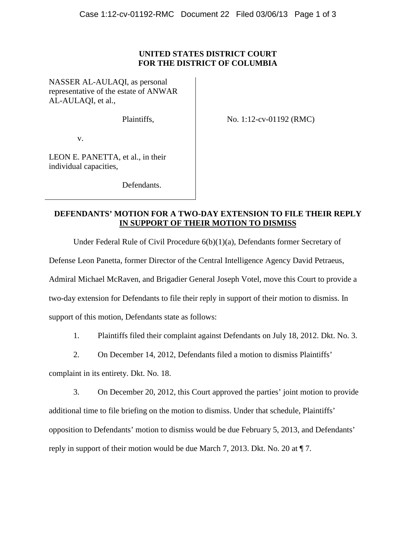## **UNITED STATES DISTRICT COURT FOR THE DISTRICT OF COLUMBIA**

NASSER AL-AULAQI, as personal representative of the estate of ANWAR AL-AULAQI, et al.,

Plaintiffs,

No. 1:12-cv-01192 (RMC)

v.

LEON E. PANETTA, et al., in their individual capacities,

Defendants.

## **DEFENDANTS' MOTION FOR A TWO-DAY EXTENSION TO FILE THEIR REPLY IN SUPPORT OF THEIR MOTION TO DISMISS**

Under Federal Rule of Civil Procedure 6(b)(1)(a), Defendants former Secretary of

Defense Leon Panetta, former Director of the Central Intelligence Agency David Petraeus,

Admiral Michael McRaven, and Brigadier General Joseph Votel, move this Court to provide a

two-day extension for Defendants to file their reply in support of their motion to dismiss. In

support of this motion, Defendants state as follows:

- 1. Plaintiffs filed their complaint against Defendants on July 18, 2012. Dkt. No. 3.
- 2. On December 14, 2012, Defendants filed a motion to dismiss Plaintiffs'

complaint in its entirety. Dkt. No. 18.

3. On December 20, 2012, this Court approved the parties' joint motion to provide additional time to file briefing on the motion to dismiss. Under that schedule, Plaintiffs' opposition to Defendants' motion to dismiss would be due February 5, 2013, and Defendants' reply in support of their motion would be due March 7, 2013. Dkt. No. 20 at ¶ 7.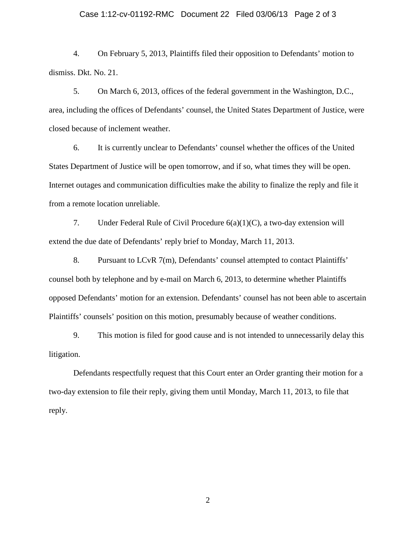## Case 1:12-cv-01192-RMC Document 22 Filed 03/06/13 Page 2 of 3

4. On February 5, 2013, Plaintiffs filed their opposition to Defendants' motion to dismiss. Dkt. No. 21.

5. On March 6, 2013, offices of the federal government in the Washington, D.C., area, including the offices of Defendants' counsel, the United States Department of Justice, were closed because of inclement weather.

6. It is currently unclear to Defendants' counsel whether the offices of the United States Department of Justice will be open tomorrow, and if so, what times they will be open. Internet outages and communication difficulties make the ability to finalize the reply and file it from a remote location unreliable.

7. Under Federal Rule of Civil Procedure 6(a)(1)(C), a two-day extension will extend the due date of Defendants' reply brief to Monday, March 11, 2013.

8. Pursuant to LCvR 7(m), Defendants' counsel attempted to contact Plaintiffs' counsel both by telephone and by e-mail on March 6, 2013, to determine whether Plaintiffs opposed Defendants' motion for an extension. Defendants' counsel has not been able to ascertain Plaintiffs' counsels' position on this motion, presumably because of weather conditions.

9. This motion is filed for good cause and is not intended to unnecessarily delay this litigation.

Defendants respectfully request that this Court enter an Order granting their motion for a two-day extension to file their reply, giving them until Monday, March 11, 2013, to file that reply.

2